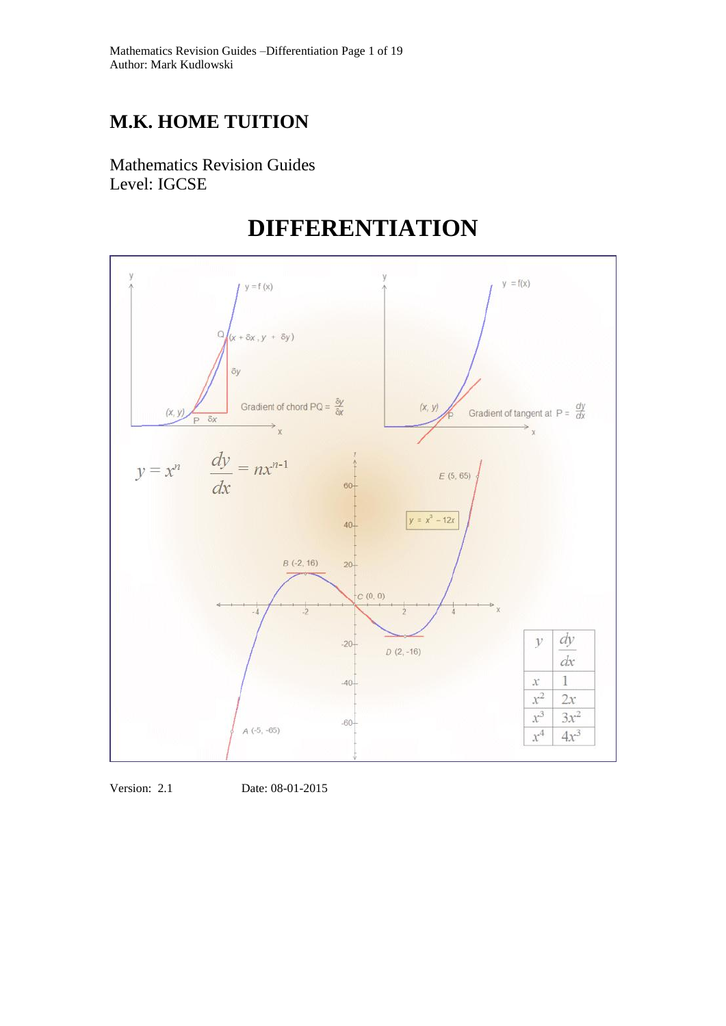# **M.K. HOME TUITION**

Mathematics Revision Guides Level: IGCSE

# **DIFFERENTIATION**



Version: 2.1 Date: 08-01-2015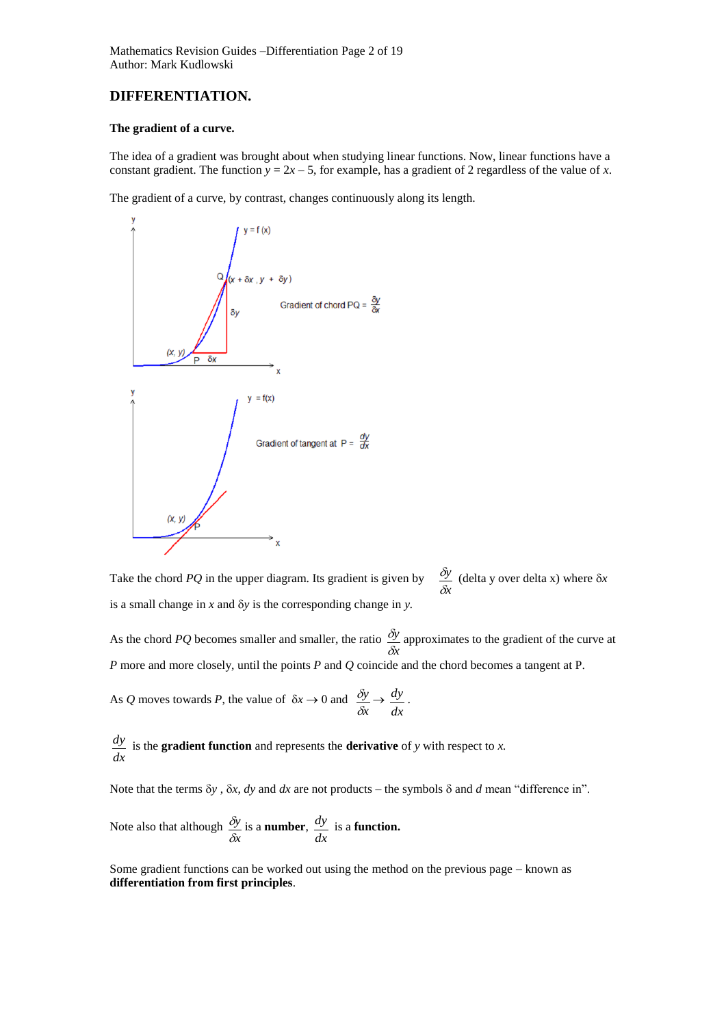# **DIFFERENTIATION.**

# **The gradient of a curve.**

The idea of a gradient was brought about when studying linear functions. Now, linear functions have a constant gradient. The function  $y = 2x - 5$ , for example, has a gradient of 2 regardless of the value of *x*.

The gradient of a curve, by contrast, changes continuously along its length.



Take the chord *PQ* in the upper diagram. Its gradient is given by *x y* δ  $\frac{\delta y}{\delta x}$  (delta y over delta x) where  $\delta x$ is a small change in  $x$  and  $\delta y$  is the corresponding change in  $y$ .

As the chord *PQ* becomes smaller and smaller, the ratio *x y* δ  $\delta y$  approximates to the gradient of the curve at *P* more and more closely, until the points *P* and *Q* coincide and the chord becomes a tangent at P.

As Q moves towards P, the value of  $\delta x \rightarrow 0$  and *x y* δ  $\frac{\delta y}{\delta x}$   $\rightarrow$ *dx dy* .

*dx dy* is the **gradient function** and represents the **derivative** of *y* with respect to *x.*

Note that the terms  $\delta y$ ,  $\delta x$ , *dy* and *dx* are not products – the symbols  $\delta$  and *d* mean "difference in".

Note also that although 
$$
\frac{\delta y}{\delta x}
$$
 is a **number**,  $\frac{dy}{dx}$  is a **function**.

Some gradient functions can be worked out using the method on the previous page – known as **differentiation from first principles**.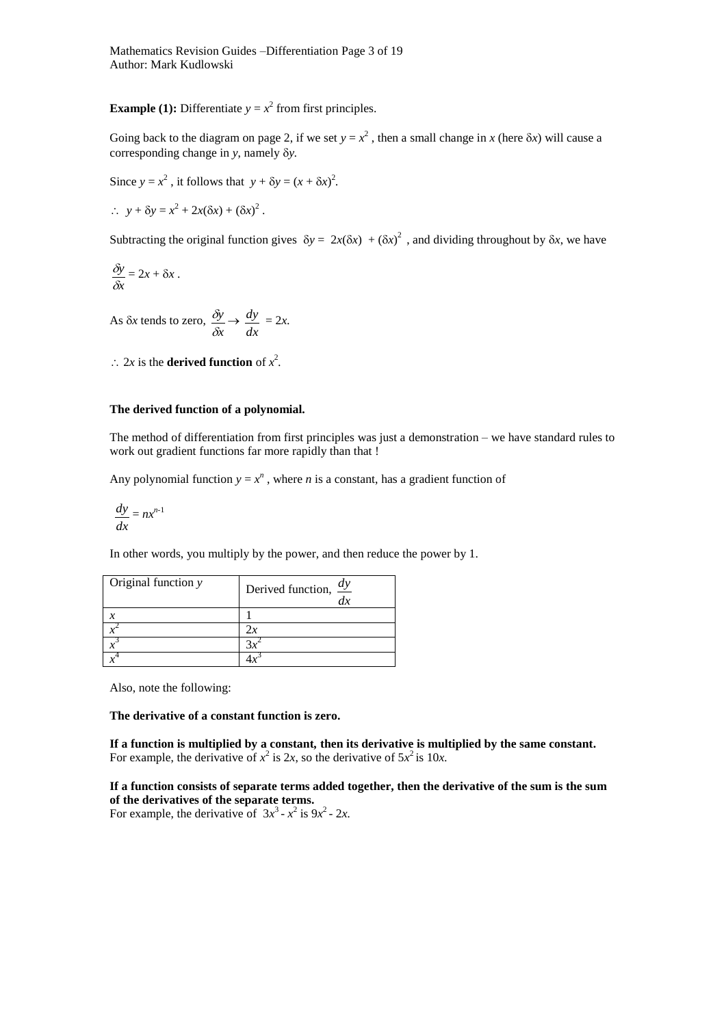Mathematics Revision Guides –Differentiation Page 3 of 19 Author: Mark Kudlowski

**Example (1):** Differentiate  $y = x^2$  from first principles.

Going back to the diagram on page 2, if we set  $y = x^2$ , then a small change in *x* (here  $\delta x$ ) will cause a corresponding change in *y*, namely  $\delta y$ .

Since  $y = x^2$ , it follows that  $y + \delta y = (x + \delta x)^2$ .

 $\therefore$   $y + \delta y = x^2 + 2x(\delta x) + (\delta x)^2$ .

Subtracting the original function gives  $\delta y = 2x(\delta x) + (\delta x)^2$ , and dividing throughout by  $\delta x$ , we have

$$
\frac{\delta y}{\delta x} = 2x + \delta x.
$$

As  $\delta x$  tends to zero, *x y* δ  $\frac{\delta y}{\delta} \rightarrow$ *dx*  $\frac{dy}{dx} = 2x$ .

 $\therefore$  2*x* is the **derived function** of  $x^2$ .

# **The derived function of a polynomial.**

The method of differentiation from first principles was just a demonstration – we have standard rules to work out gradient functions far more rapidly than that !

Any polynomial function  $y = x^n$ , where *n* is a constant, has a gradient function of

$$
\frac{dy}{dx} = nx^{n-1}
$$

In other words, you multiply by the power, and then reduce the power by 1.

| Original function y | Derived function, $\frac{dy}{dx}$ |
|---------------------|-----------------------------------|
|                     |                                   |
|                     |                                   |
|                     |                                   |
|                     |                                   |

Also, note the following:

# **The derivative of a constant function is zero.**

**If a function is multiplied by a constant***,* **then its derivative is multiplied by the same constant.** For example, the derivative of  $x^2$  is 2x, so the derivative of  $5x^2$  is 10x.

# **If a function consists of separate terms added together, then the derivative of the sum is the sum of the derivatives of the separate terms.**

For example, the derivative of  $3x^3 - x^2$  is  $9x^2 - 2x$ .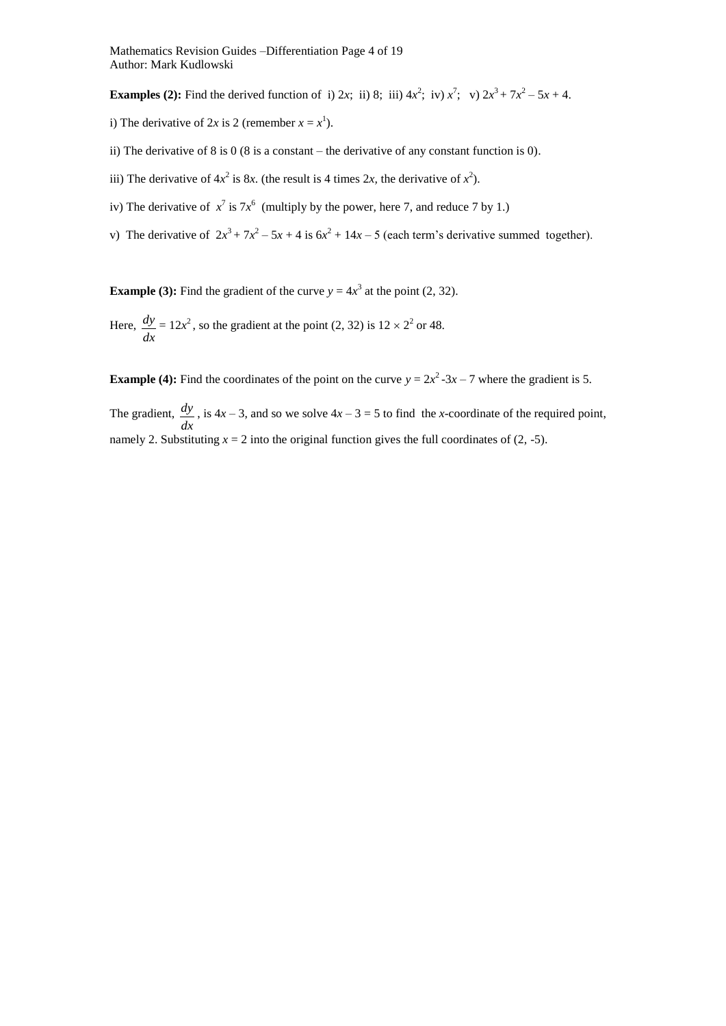Mathematics Revision Guides –Differentiation Page 4 of 19 Author: Mark Kudlowski

**Examples (2):** Find the derived function of i) 2x; ii) 8; iii)  $4x^2$ ; iv)  $x^7$ ; v)  $2x^3 + 7x^2 - 5x + 4$ .

- i) The derivative of 2x is 2 (remember  $x = x^1$ ).
- ii) The derivative of 8 is 0 (8 is a constant the derivative of any constant function is 0).
- iii) The derivative of  $4x^2$  is 8*x*. (the result is 4 times 2*x*, the derivative of  $x^2$ ).
- iv) The derivative of  $x^7$  is  $7x^6$  (multiply by the power, here 7, and reduce 7 by 1.)
- v) The derivative of  $2x^3 + 7x^2 5x + 4$  is  $6x^2 + 14x 5$  (each term's derivative summed together).

**Example (3):** Find the gradient of the curve  $y = 4x^3$  at the point (2, 32).

Here, *dx*  $\frac{dy}{dx} = 12x^2$ , so the gradient at the point (2, 32) is  $12 \times 2^2$  or 48.

**Example (4):** Find the coordinates of the point on the curve  $y = 2x^2 - 3x - 7$  where the gradient is 5.

The gradient, *dx*  $\frac{dy}{dx}$ , is  $4x - 3$ , and so we solve  $4x - 3 = 5$  to find the *x*-coordinate of the required point, namely 2. Substituting  $x = 2$  into the original function gives the full coordinates of (2, -5).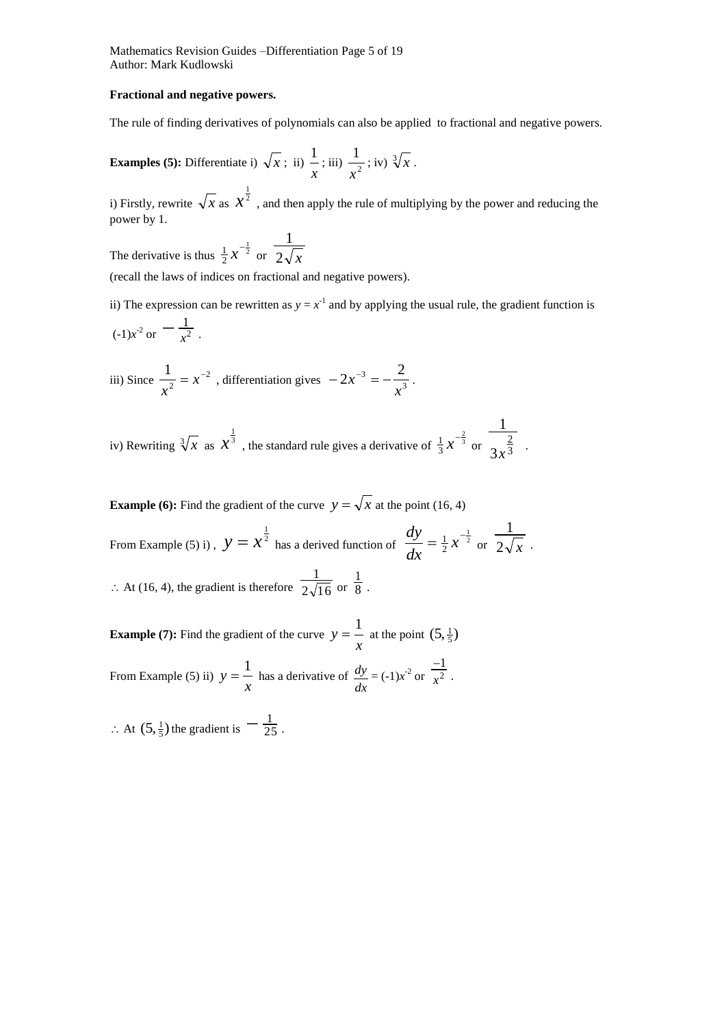Mathematics Revision Guides –Differentiation Page 5 of 19 Author: Mark Kudlowski

### **Fractional and negative powers.**

The rule of finding derivatives of polynomials can also be applied to fractional and negative powers.

**Examples (5):** Differentiate i) 
$$
\sqrt{x}
$$
; ii)  $\frac{1}{x}$ ; iii)  $\frac{1}{x^2}$ ; iv)  $\sqrt[3]{x}$ .

i) Firstly, rewrite  $\sqrt{x}$  as  $x^{\frac{1}{2}}$ , and then apply the rule of multiplying by the power and reducing the power by 1.

The derivative is thus  $\frac{1}{2}x^{-\frac{1}{2}}$ 2  $\frac{1}{2}x^{-\frac{1}{2}}$  or  $\frac{1}{2\sqrt{x}}$ 1

(recall the laws of indices on fractional and negative powers).

ii) The expression can be rewritten as  $y = x<sup>-1</sup>$  and by applying the usual rule, the gradient function is  $\frac{1}{(1)x^2}$  or  $-\frac{1}{x^2}$  $-\frac{1}{x^2}$ .

iii) Since 
$$
\frac{1}{x^2} = x^{-2}
$$
, differentiation gives  $-2x^{-3} = -\frac{2}{x^3}$ .

iv) Rewriting  $\sqrt[3]{x}$  as  $x^{\frac{1}{3}}$ , the standard rule gives a derivative of  $\frac{1}{3}x^{-\frac{2}{3}}$ 3  $rac{1}{3}x^{-\frac{2}{3}}$  or  $rac{2}{3x^{\frac{2}{3}}}$ 2 3 1  $x^{\frac{2}{3}}$ .

**Example (6):** Find the gradient of the curve  $y = \sqrt{x}$  at the point (16, 4) From Example (5) i),  $y = x^{\frac{1}{2}}$  has a derived function of  $\frac{dy}{dx} = \frac{1}{2}x^{-\frac{1}{2}}$ 2  $=\frac{1}{2}x^{-}$ *dx dy* or  $2\sqrt{x}$ 1  $\therefore$  At (16, 4), the gradient is therefore  $2\sqrt{16}$ 1 or  $\overline{8}$ 1 .

.

**Example (7):** Find the gradient of the curve  $y = \frac{1}{x}$  $y = \frac{1}{x}$  at the point  $(5, \frac{1}{5})$ From Example (5) ii)  $y = \frac{1}{x}$  $y = \frac{1}{x}$  has a derivative of *dx*  $\frac{dy}{dx} = (-1)x^{-2}$  or  $\frac{-1}{x^2}$ 1 *x*  $\overline{a}$ .

 $\therefore$  At  $(5, \frac{1}{5})$  the gradient is  $\frac{1}{25}$  $-\frac{1}{25}$ .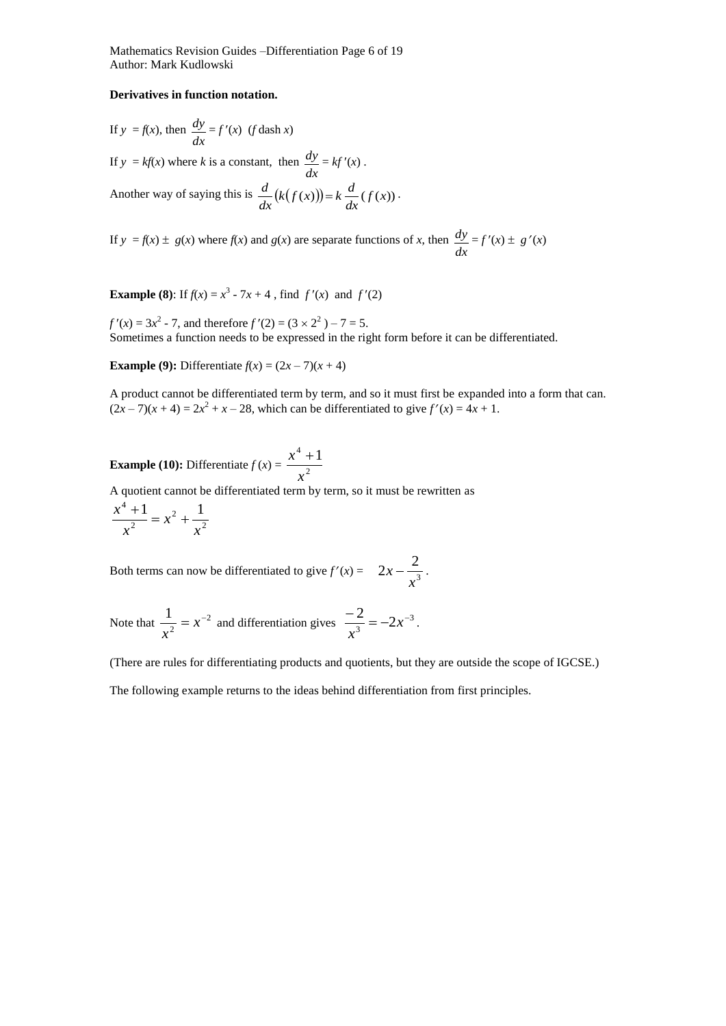Mathematics Revision Guides –Differentiation Page 6 of 19 Author: Mark Kudlowski

### **Derivatives in function notation.**

If 
$$
y = f(x)
$$
, then  $\frac{dy}{dx} = f'(x)$  (f dash x)  
If  $y = kf(x)$  where k is a constant, then  $\frac{dy}{dx} = kf'(x)$ .  
Another way of saying this is  $\frac{d}{dx}(k(f(x))) = k \frac{d}{dx}(f(x))$ .

If  $y = f(x) \pm g(x)$  where  $f(x)$  and  $g(x)$  are separate functions of *x*, then *dx*  $\frac{dy}{dx} = f'(x) \pm g'(x)$ 

**Example (8):** If  $f(x) = x^3 - 7x + 4$ , find  $f'(x)$  and  $f'(2)$ 

 $f'(x) = 3x^2 - 7$ , and therefore  $f'(2) = (3 \times 2^2) - 7 = 5$ . Sometimes a function needs to be expressed in the right form before it can be differentiated.

**Example (9):** Differentiate  $f(x) = (2x - 7)(x + 4)$ 

A product cannot be differentiated term by term, and so it must first be expanded into a form that can.  $(2x-7)(x+4) = 2x^2 + x - 28$ , which can be differentiated to give  $f'(x) = 4x + 1$ .

#### **Example (10):** Differentiate  $f(x) = \frac{x^2}{x^2}$  $^{4}+1$ *x*  $x^4 +$

A quotient cannot be differentiated term by term, so it must be rewritten as

$$
\frac{x^4 + 1}{x^2} = x^2 + \frac{1}{x^2}
$$

Both terms can now be differentiated to give  $f'(x) = 2x - \frac{1}{x^3}$  $2x - \frac{2}{3}$ *x*  $x - \frac{2}{\sqrt{2}}$ .

Note that 
$$
\frac{1}{x^2} = x^{-2}
$$
 and differentiation gives  $\frac{-2}{x^3} = -2x^{-3}$ .

(There are rules for differentiating products and quotients, but they are outside the scope of IGCSE.)

The following example returns to the ideas behind differentiation from first principles.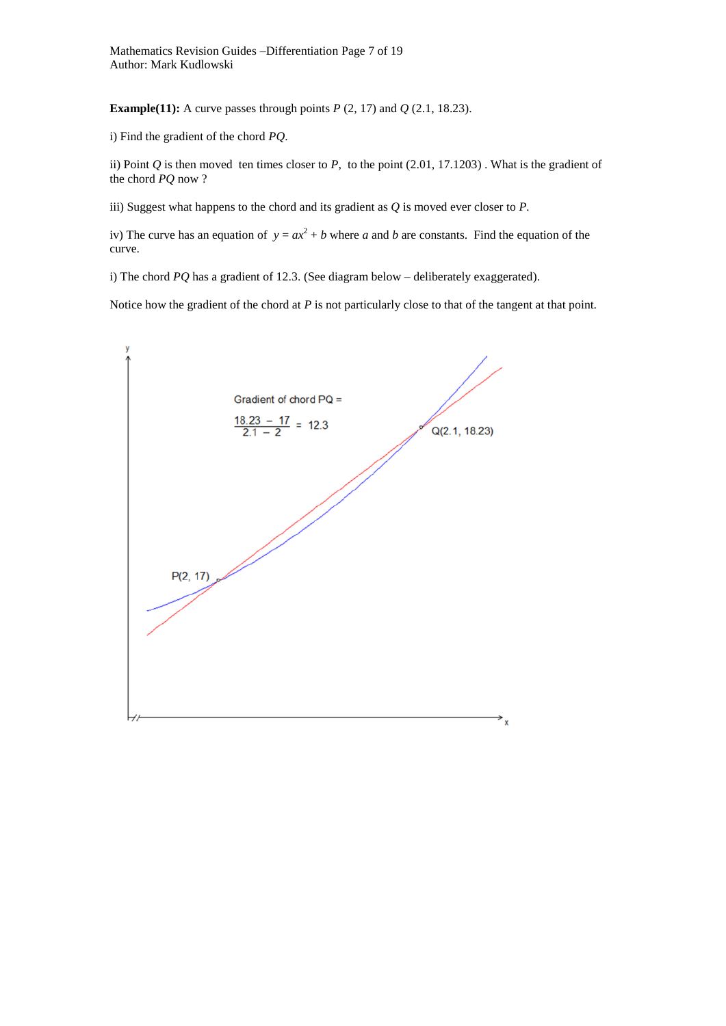Mathematics Revision Guides –Differentiation Page 7 of 19 Author: Mark Kudlowski

**Example(11):** A curve passes through points  $P$  (2, 17) and  $Q$  (2.1, 18.23).

i) Find the gradient of the chord *PQ*.

ii) Point *Q* is then moved ten times closer to *P*, to the point (2.01, 17.1203) . What is the gradient of the chord *PQ* now ?

iii) Suggest what happens to the chord and its gradient as *Q* is moved ever closer to *P.*

iv) The curve has an equation of  $y = ax^2 + b$  where *a* and *b* are constants. Find the equation of the curve.

i) The chord *PQ* has a gradient of 12.3. (See diagram below – deliberately exaggerated).

Notice how the gradient of the chord at *P* is not particularly close to that of the tangent at that point.

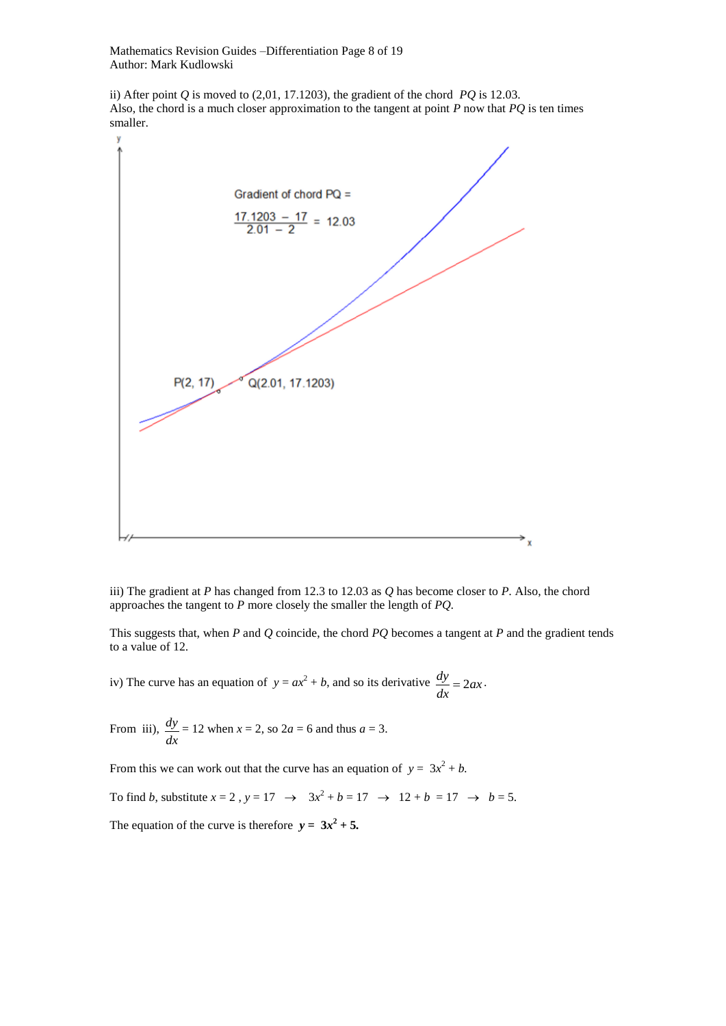Mathematics Revision Guides –Differentiation Page 8 of 19 Author: Mark Kudlowski

ii) After point *Q* is moved to (2,01, 17.1203), the gradient of the chord *PQ* is 12.03. Also, the chord is a much closer approximation to the tangent at point *P* now that *PQ* is ten times smaller.



iii) The gradient at *P* has changed from 12.3 to 12.03 as *Q* has become closer to *P.* Also, the chord approaches the tangent to *P* more closely the smaller the length of *PQ.*

This suggests that, when *P* and *Q* coincide, the chord *PQ* becomes a tangent at *P* and the gradient tends to a value of 12.

iv) The curve has an equation of  $y = ax^2 + b$ , and so its derivative  $\frac{dy}{dx} = 2ax$ *dx*  $\frac{dy}{dx} = 2ax$ .

From iii), *dx*  $\frac{dy}{dx}$  = 12 when *x* = 2, so 2*a* = 6 and thus *a* = 3.

From this we can work out that the curve has an equation of  $y = 3x^2 + b$ .

To find *b*, substitute  $x = 2$ ,  $y = 17 \rightarrow 3x^2 + b = 17 \rightarrow 12 + b = 17 \rightarrow b = 5$ .

The equation of the curve is therefore  $y = 3x^2 + 5$ .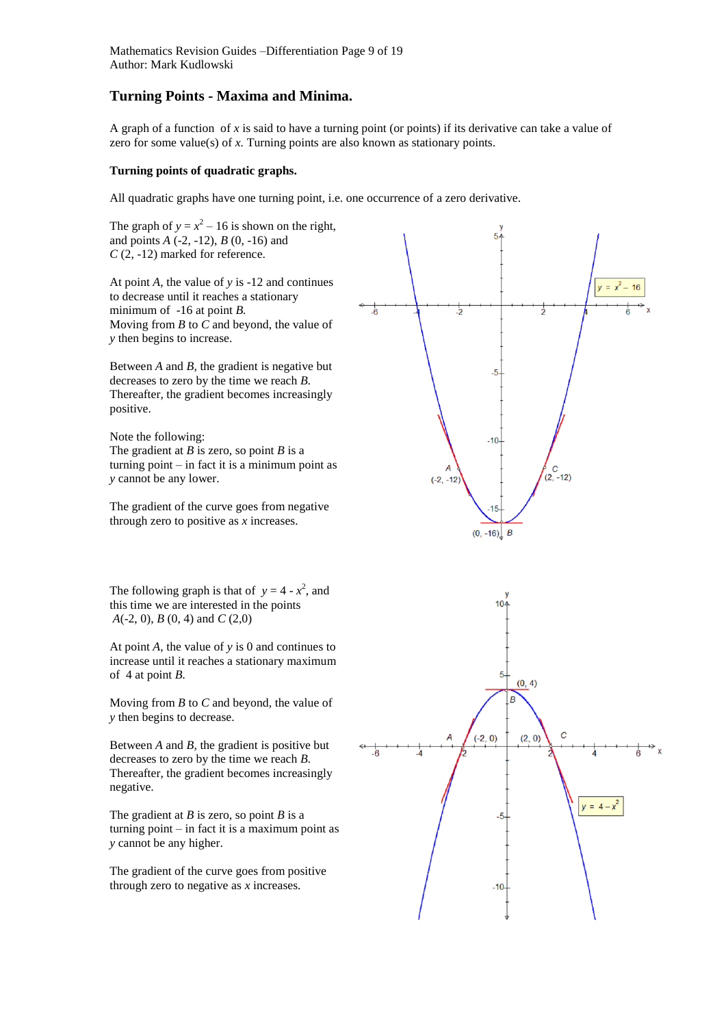# **Turning Points - Maxima and Minima.**

A graph of a function of  $x$  is said to have a turning point (or points) if its derivative can take a value of zero for some value(s) of *x*. Turning points are also known as stationary points.

# **Turning points of quadratic graphs.**

All quadratic graphs have one turning point, i.e. one occurrence of a zero derivative.

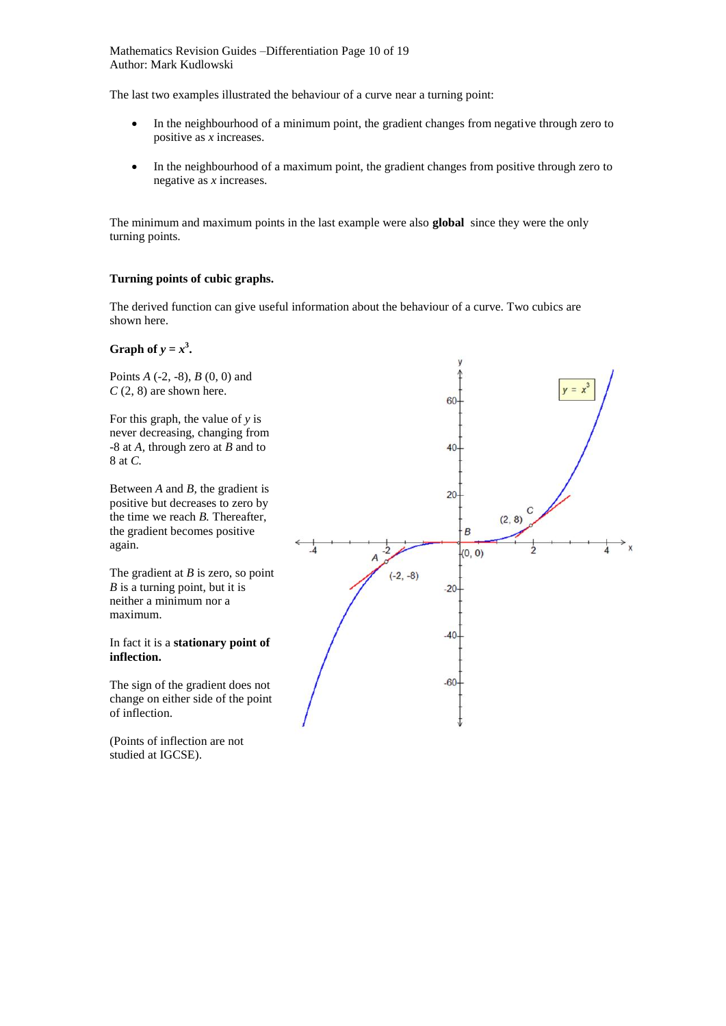Mathematics Revision Guides –Differentiation Page 10 of 19 Author: Mark Kudlowski

The last two examples illustrated the behaviour of a curve near a turning point:

- In the neighbourhood of a minimum point, the gradient changes from negative through zero to positive as *x* increases.
- In the neighbourhood of a maximum point, the gradient changes from positive through zero to negative as *x* increases.

The minimum and maximum points in the last example were also **global** since they were the only turning points.

# **Turning points of cubic graphs.**

The derived function can give useful information about the behaviour of a curve. Two cubics are shown here.

# **Graph of**  $y = x^3$ .

Points *A* (-2, -8), *B* (0, 0) and  $C(2, 8)$  are shown here.

For this graph, the value of *y* is never decreasing, changing from -8 at *A,* through zero at *B* and to 8 at *C.*

Between *A* and *B,* the gradient is positive but decreases to zero by the time we reach *B.* Thereafter, the gradient becomes positive again.

The gradient at *B* is zero, so point *B* is a turning point, but it is neither a minimum nor a maximum.

### In fact it is a **stationary point of inflection.**

The sign of the gradient does not change on either side of the point of inflection.

(Points of inflection are not studied at IGCSE).

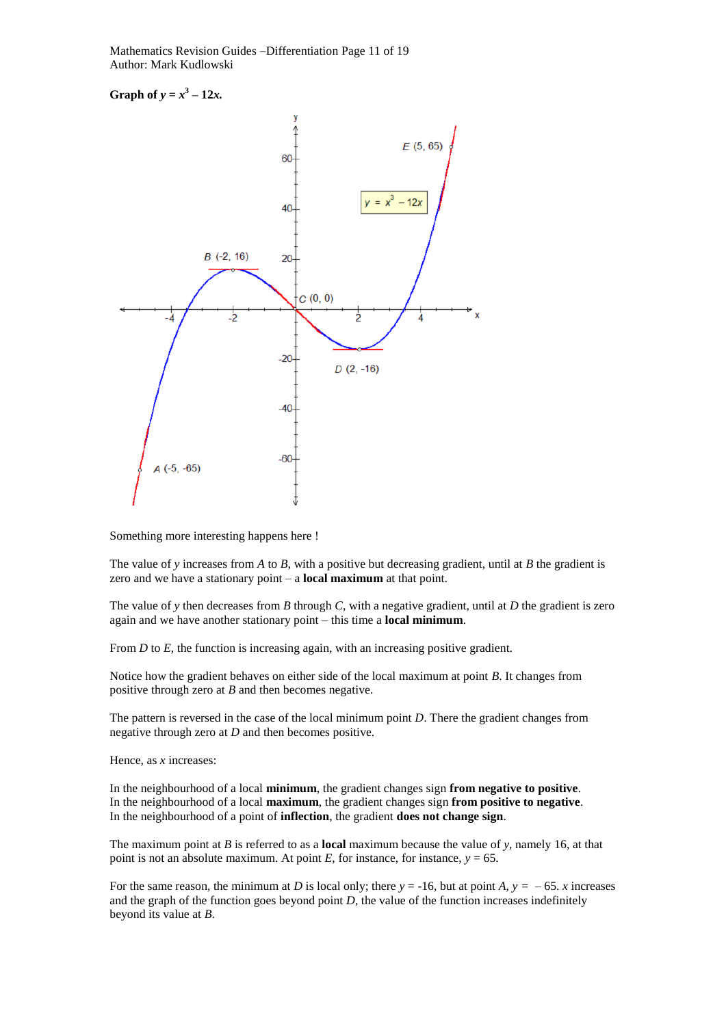Mathematics Revision Guides –Differentiation Page 11 of 19 Author: Mark Kudlowski

**Graph of**  $y = x^3 - 12x$ .



Something more interesting happens here !

The value of *y* increases from *A* to *B*, with a positive but decreasing gradient, until at *B* the gradient is zero and we have a stationary point – a **local maximum** at that point.

The value of *y* then decreases from *B* through *C*, with a negative gradient, until at *D* the gradient is zero again and we have another stationary point – this time a **local minimum**.

From *D* to *E*, the function is increasing again, with an increasing positive gradient.

Notice how the gradient behaves on either side of the local maximum at point *B*. It changes from positive through zero at *B* and then becomes negative.

The pattern is reversed in the case of the local minimum point *D*. There the gradient changes from negative through zero at *D* and then becomes positive.

Hence, as *x* increases:

In the neighbourhood of a local **minimum**, the gradient changes sign **from negative to positive**. In the neighbourhood of a local **maximum**, the gradient changes sign **from positive to negative**. In the neighbourhood of a point of **inflection**, the gradient **does not change sign**.

The maximum point at *B* is referred to as a **local** maximum because the value of *y*, namely 16, at that point is not an absolute maximum. At point  $E$ , for instance, for instance,  $y = 65$ .

For the same reason, the minimum at *D* is local only; there  $y = -16$ , but at point *A*,  $y = -65$ . *x* increases and the graph of the function goes beyond point *D*, the value of the function increases indefinitely beyond its value at *B*.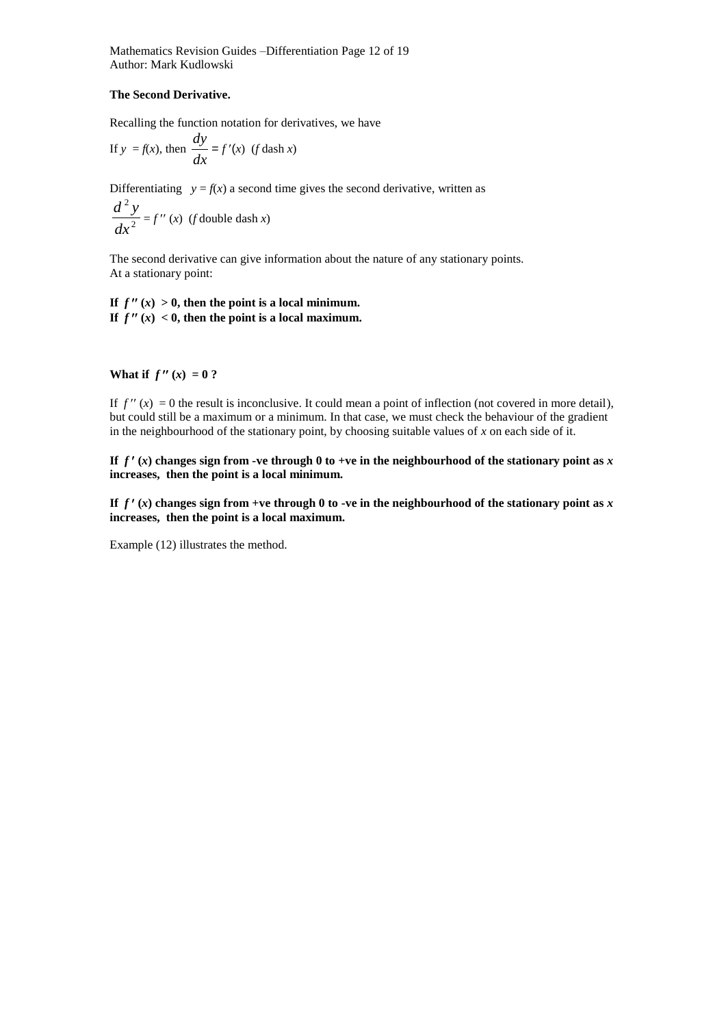Mathematics Revision Guides –Differentiation Page 12 of 19 Author: Mark Kudlowski

# **The Second Derivative.**

Recalling the function notation for derivatives, we have

If 
$$
y = f(x)
$$
, then  $\frac{dy}{dx} = f'(x)$  (f dash x)

Differentiating  $y = f(x)$  a second time gives the second derivative, written as 2 2 *dx*  $\frac{d^2 y}{dx^2} = f''(x)$  (*f* double dash *x*)

The second derivative can give information about the nature of any stationary points. At a stationary point:

If  $f''(x) > 0$ , then the point is a local minimum. If  $f''(x) < 0$ , then the point is a local maximum.

# **What if**  $f''(x) = 0$ ?

If  $f''(x) = 0$  the result is inconclusive. It could mean a point of inflection (not covered in more detail), but could still be a maximum or a minimum. In that case, we must check the behaviour of the gradient in the neighbourhood of the stationary point, by choosing suitable values of *x* on each side of it.

If  $f'(x)$  changes sign from -ve through 0 to +ve in the neighbourhood of the stationary point as  $x$ **increases, then the point is a local minimum.**

If  $f'(x)$  changes sign from +ve through 0 to -ve in the neighbourhood of the stationary point as  $x$ **increases, then the point is a local maximum.**

Example (12) illustrates the method.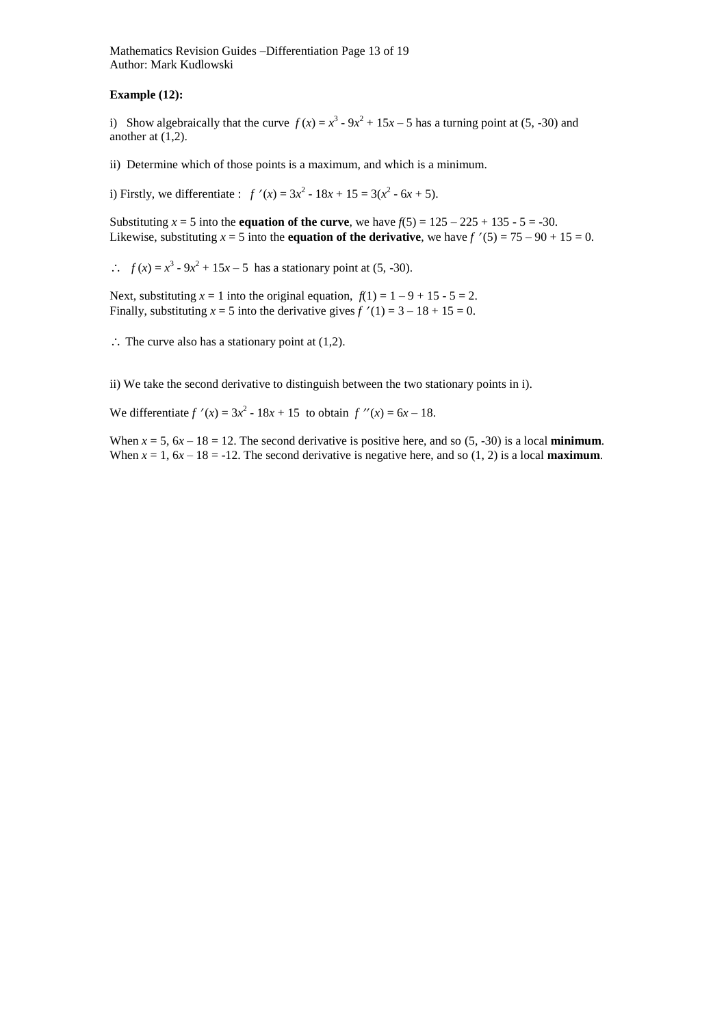Mathematics Revision Guides –Differentiation Page 13 of 19 Author: Mark Kudlowski

# **Example (12):**

i) Show algebraically that the curve  $f(x) = x^3 - 9x^2 + 15x - 5$  has a turning point at (5, -30) and another at (1,2).

ii) Determine which of those points is a maximum, and which is a minimum.

i) Firstly, we differentiate :  $f'(x) = 3x^2 - 18x + 15 = 3(x^2 - 6x + 5)$ .

Substituting  $x = 5$  into the **equation of the curve**, we have  $f(5) = 125 - 225 + 135 - 5 = -30$ . Likewise, substituting  $x = 5$  into the **equation of the derivative**, we have  $f'(5) = 75 - 90 + 15 = 0$ .

 $f(x) = x^3 - 9x^2 + 15x - 5$  has a stationary point at (5, -30).

Next, substituting  $x = 1$  into the original equation,  $f(1) = 1 - 9 + 15 - 5 = 2$ . Finally, substituting  $x = 5$  into the derivative gives  $f'(1) = 3 - 18 + 15 = 0$ .

 $\therefore$  The curve also has a stationary point at (1,2).

ii) We take the second derivative to distinguish between the two stationary points in i).

We differentiate  $f'(x) = 3x^2 - 18x + 15$  to obtain  $f''(x) = 6x - 18$ .

When  $x = 5$ ,  $6x - 18 = 12$ . The second derivative is positive here, and so  $(5, -30)$  is a local **minimum**. When  $x = 1$ ,  $6x - 18 = -12$ . The second derivative is negative here, and so (1, 2) is a local **maximum**.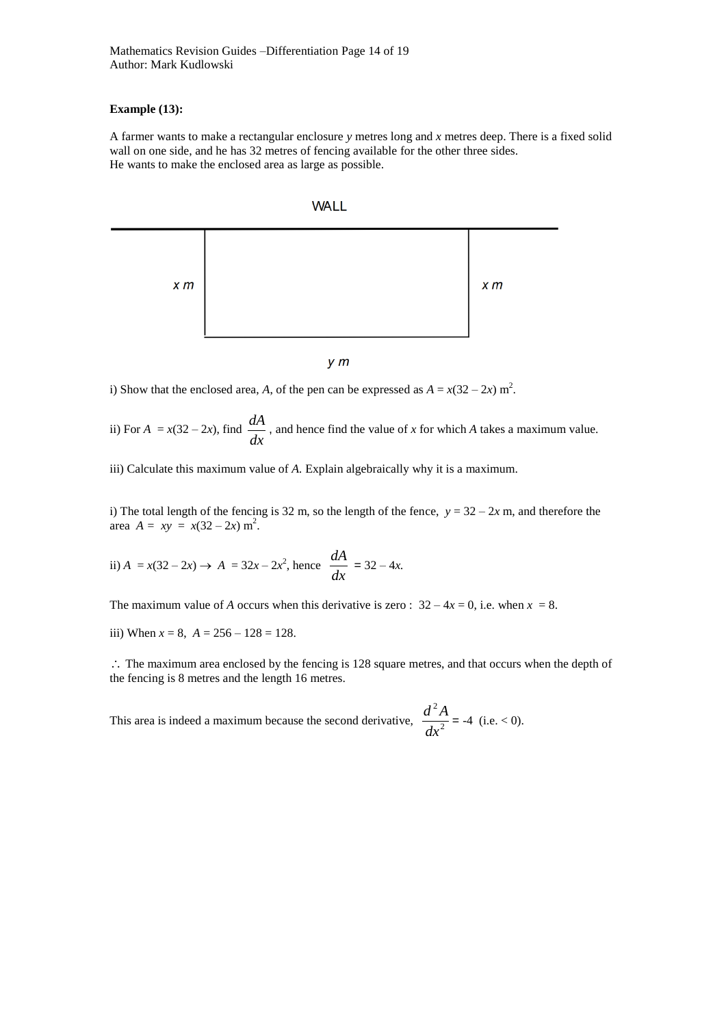# **Example (13):**

A farmer wants to make a rectangular enclosure *y* metres long and *x* metres deep. There is a fixed solid wall on one side, and he has 32 metres of fencing available for the other three sides. He wants to make the enclosed area as large as possible.





 $y \, m$ 

i) Show that the enclosed area, *A*, of the pen can be expressed as  $A = x(32 - 2x)$  m<sup>2</sup>.

ii) For  $A = x(32 - 2x)$ , find  $\frac{dA}{dx}$  $\frac{dA}{dt}$ , and hence find the value of *x* for which *A* takes a maximum value.

iii) Calculate this maximum value of *A.* Explain algebraically why it is a maximum.

i) The total length of the fencing is 32 m, so the length of the fence,  $y = 32 - 2x$  m, and therefore the area  $A = xy = x(32 - 2x) m^2$ .

ii) 
$$
A = x(32 - 2x) \rightarrow A = 32x - 2x^2
$$
, hence  $\frac{dA}{dx} = 32 - 4x$ .

The maximum value of *A* occurs when this derivative is zero :  $32 - 4x = 0$ , i.e. when  $x = 8$ .

iii) When  $x = 8$ ,  $A = 256 - 128 = 128$ .

 $\therefore$  The maximum area enclosed by the fencing is 128 square metres, and that occurs when the depth of the fencing is 8 metres and the length 16 metres.

This area is indeed a maximum because the second derivative,  $\frac{d^{2}z}{dx^{2}}$ 2 *dx*  $\frac{d^2A}{dt^2}$  = -4 (i.e. < 0).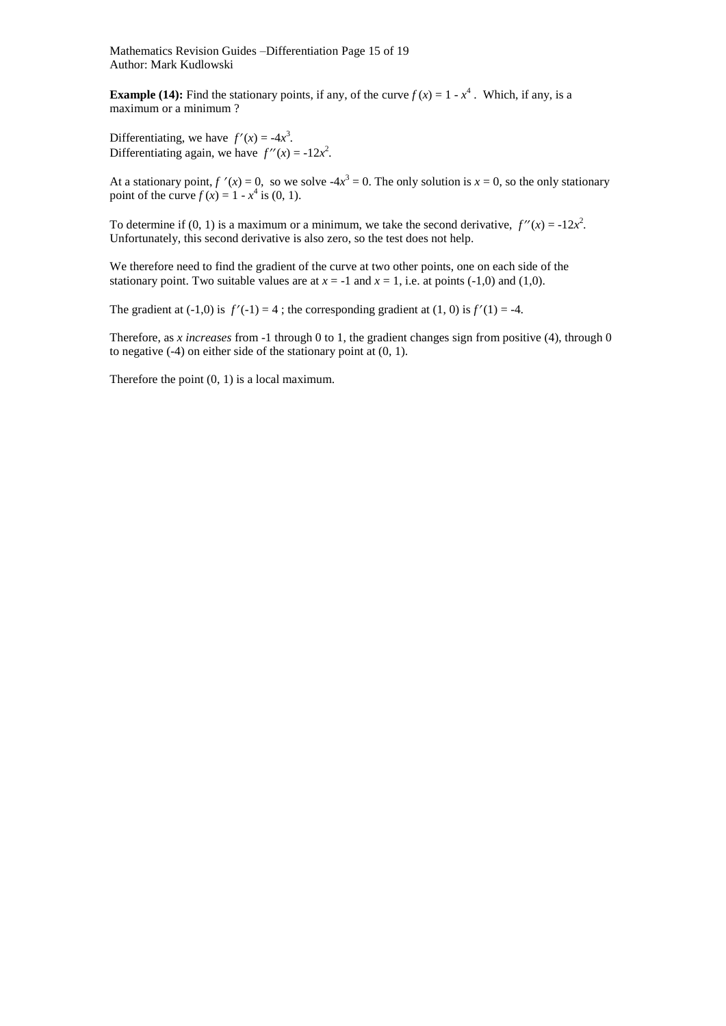Mathematics Revision Guides –Differentiation Page 15 of 19 Author: Mark Kudlowski

**Example (14):** Find the stationary points, if any, of the curve  $f(x) = 1 - x^4$ . Which, if any, is a maximum or a minimum ?

Differentiating, we have  $f'(x) = -4x^3$ . Differentiating again, we have  $f''(x) = -12x^2$ .

At a stationary point,  $f'(x) = 0$ , so we solve  $-4x^3 = 0$ . The only solution is  $x = 0$ , so the only stationary point of the curve  $f(x) = 1 - x^4$  is (0, 1).

To determine if (0, 1) is a maximum or a minimum, we take the second derivative,  $f''(x) = -12x^2$ . Unfortunately, this second derivative is also zero, so the test does not help.

We therefore need to find the gradient of the curve at two other points, one on each side of the stationary point. Two suitable values are at  $x = -1$  and  $x = 1$ , i.e. at points (-1,0) and (1,0).

The gradient at  $(-1,0)$  is  $f'(-1) = 4$ ; the corresponding gradient at  $(1, 0)$  is  $f'(1) = -4$ .

Therefore, as *x increases* from -1 through 0 to 1, the gradient changes sign from positive (4), through 0 to negative (-4) on either side of the stationary point at (0, 1).

Therefore the point (0, 1) is a local maximum.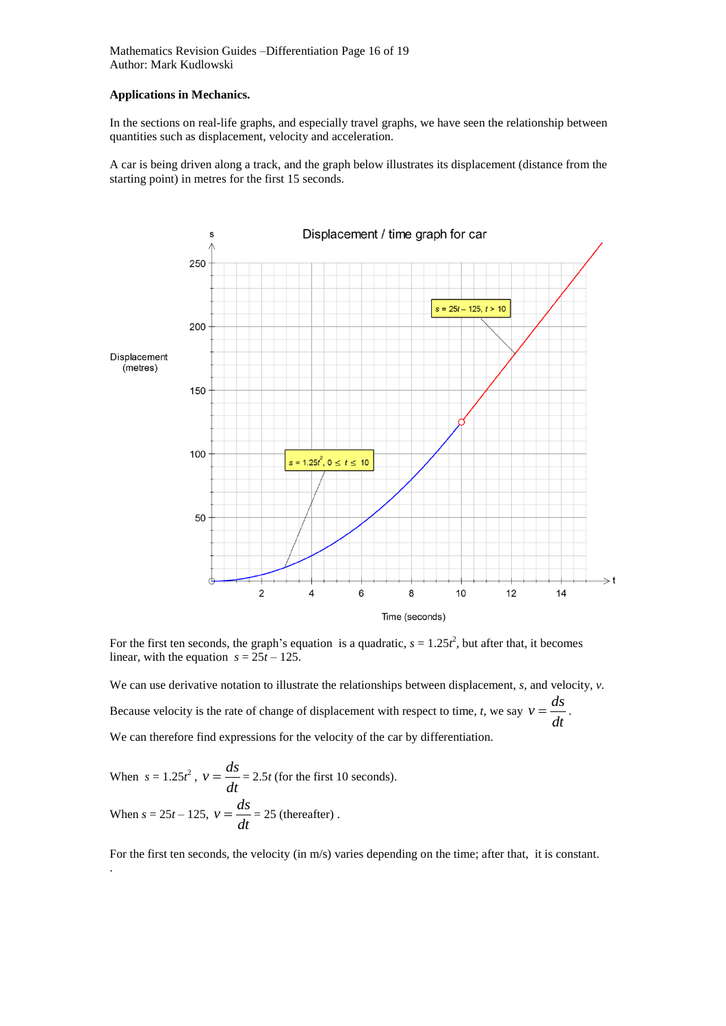Mathematics Revision Guides –Differentiation Page 16 of 19 Author: Mark Kudlowski

### **Applications in Mechanics.**

In the sections on real-life graphs, and especially travel graphs, we have seen the relationship between quantities such as displacement, velocity and acceleration.

A car is being driven along a track, and the graph below illustrates its displacement (distance from the starting point) in metres for the first 15 seconds.



For the first ten seconds, the graph's equation is a quadratic,  $s = 1.25t^2$ , but after that, it becomes linear, with the equation  $s = 25t - 125$ .

We can use derivative notation to illustrate the relationships between displacement, *s*, and velocity, *v.* Because velocity is the rate of change of displacement with respect to time, *t*, we say  $v = \frac{du}{dt}$  $v = \frac{ds}{dx}$ . We can therefore find expressions for the velocity of the car by differentiation.

When 
$$
s = 1.25t^2
$$
,  $v = \frac{ds}{dt} = 2.5t$  (for the first 10 seconds).  
When  $s = 25t - 125$ ,  $v = \frac{ds}{dt} = 25$  (thereafter).

For the first ten seconds, the velocity (in m/s) varies depending on the time; after that, it is constant. .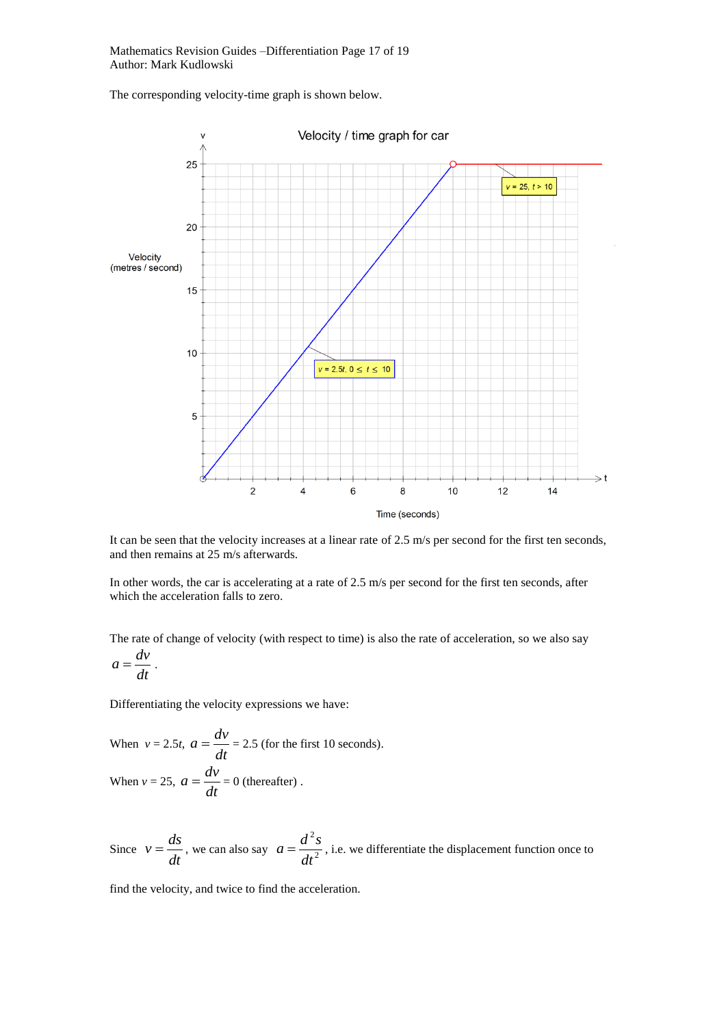Mathematics Revision Guides –Differentiation Page 17 of 19 Author: Mark Kudlowski

The corresponding velocity-time graph is shown below.



It can be seen that the velocity increases at a linear rate of 2.5 m/s per second for the first ten seconds, and then remains at 25 m/s afterwards.

In other words, the car is accelerating at a rate of 2.5 m/s per second for the first ten seconds, after which the acceleration falls to zero.

The rate of change of velocity (with respect to time) is also the rate of acceleration, so we also say

$$
a=\frac{dv}{dt}.
$$

Differentiating the velocity expressions we have:

When 
$$
v = 2.5t
$$
,  $a = \frac{dv}{dt} = 2.5$  (for the first 10 seconds).  
When  $v = 25$ ,  $a = \frac{dv}{dt} = 0$  (thereafter).

Since  $v = \frac{du}{dt}$  $v = \frac{ds}{dt}$ , we can also say  $a = \frac{d^2s}{dt^2}$ 2 *dt*  $a = \frac{d^2s}{dt^2}$ , i.e. we differentiate the displacement function once to

find the velocity, and twice to find the acceleration.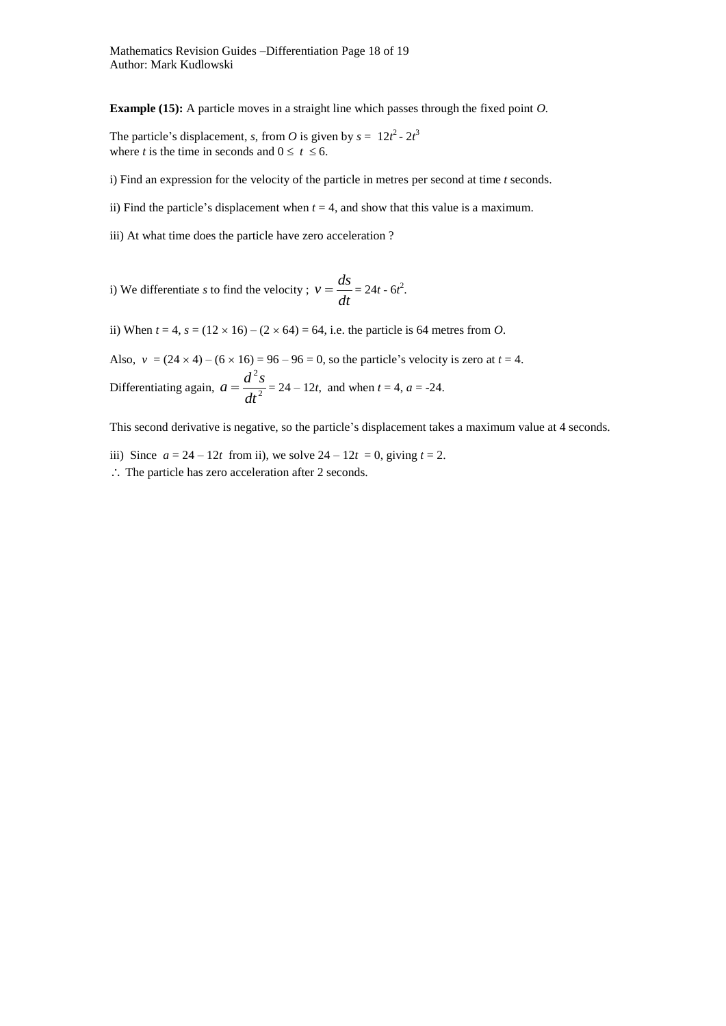**Example (15):** A particle moves in a straight line which passes through the fixed point *O.*

The particle's displacement, *s*, from *O* is given by  $s = 12t^2 - 2t^3$ where *t* is the time in seconds and  $0 \le t \le 6$ .

i) Find an expression for the velocity of the particle in metres per second at time *t* seconds.

ii) Find the particle's displacement when  $t = 4$ , and show that this value is a maximum.

iii) At what time does the particle have zero acceleration ?

i) We differentiate *s* to find the velocity ;  $v = \frac{du}{dt}$  $v = \frac{ds}{t} = 24t - 6t^2$ .

ii) When  $t = 4$ ,  $s = (12 \times 16) - (2 \times 64) = 64$ , i.e. the particle is 64 metres from *O*.

Also,  $v = (24 \times 4) - (6 \times 16) = 96 - 96 = 0$ , so the particle's velocity is zero at  $t = 4$ . Differentiating again,  $a = \frac{a}{dt^2}$ 2 *dt*  $a = \frac{d^2s}{dt^2} = 24 - 12t$ , and when  $t = 4$ ,  $a = -24$ .

This second derivative is negative, so the particle's displacement takes a maximum value at 4 seconds.

iii) Since  $a = 24 - 12t$  from ii), we solve  $24 - 12t = 0$ , giving  $t = 2$ .  $\therefore$  The particle has zero acceleration after 2 seconds.